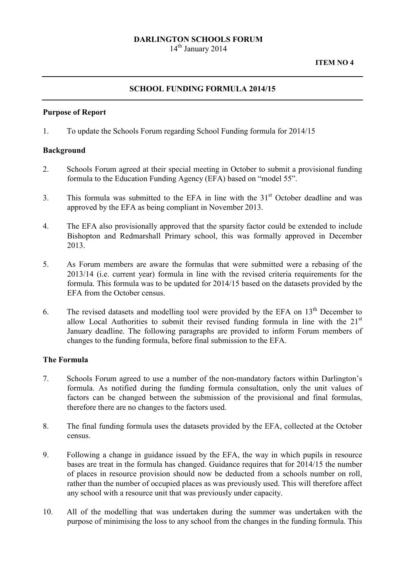## DARLINGTON SCHOOLS FORUM

 $14<sup>th</sup>$  January 2014

## SCHOOL FUNDING FORMULA 2014/15

#### Purpose of Report

1. To update the Schools Forum regarding School Funding formula for 2014/15

#### Background

- 2. Schools Forum agreed at their special meeting in October to submit a provisional funding formula to the Education Funding Agency (EFA) based on "model 55".
- 3. This formula was submitted to the EFA in line with the  $31<sup>st</sup>$  October deadline and was approved by the EFA as being compliant in November 2013.
- 4. The EFA also provisionally approved that the sparsity factor could be extended to include Bishopton and Redmarshall Primary school, this was formally approved in December 2013.
- 5. As Forum members are aware the formulas that were submitted were a rebasing of the 2013/14 (i.e. current year) formula in line with the revised criteria requirements for the formula. This formula was to be updated for 2014/15 based on the datasets provided by the EFA from the October census.
- 6. The revised datasets and modelling tool were provided by the EFA on  $13<sup>th</sup>$  December to allow Local Authorities to submit their revised funding formula in line with the  $21<sup>st</sup>$ January deadline. The following paragraphs are provided to inform Forum members of changes to the funding formula, before final submission to the EFA.

# The Formula

- 7. Schools Forum agreed to use a number of the non-mandatory factors within Darlington's formula. As notified during the funding formula consultation, only the unit values of factors can be changed between the submission of the provisional and final formulas, therefore there are no changes to the factors used.
- 8. The final funding formula uses the datasets provided by the EFA, collected at the October census.
- 9. Following a change in guidance issued by the EFA, the way in which pupils in resource bases are treat in the formula has changed. Guidance requires that for 2014/15 the number of places in resource provision should now be deducted from a schools number on roll, rather than the number of occupied places as was previously used. This will therefore affect any school with a resource unit that was previously under capacity.
- 10. All of the modelling that was undertaken during the summer was undertaken with the purpose of minimising the loss to any school from the changes in the funding formula. This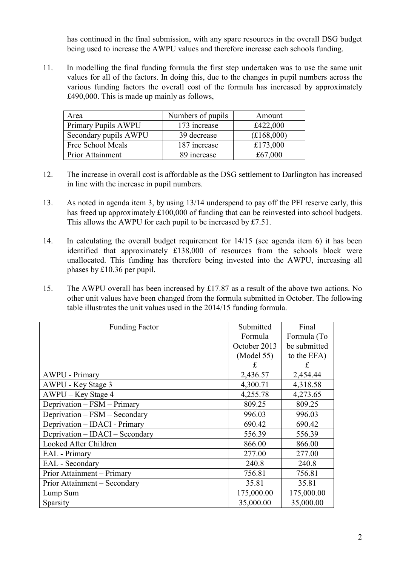has continued in the final submission, with any spare resources in the overall DSG budget being used to increase the AWPU values and therefore increase each schools funding.

11. In modelling the final funding formula the first step undertaken was to use the same unit values for all of the factors. In doing this, due to the changes in pupil numbers across the various funding factors the overall cost of the formula has increased by approximately £490,000. This is made up mainly as follows,

| Area                    | Numbers of pupils | Amount     |
|-------------------------|-------------------|------------|
| Primary Pupils AWPU     | 173 increase      | £422,000   |
| Secondary pupils AWPU   | 39 decrease       | (E168,000) |
| Free School Meals       | 187 increase      | £173,000   |
| <b>Prior Attainment</b> | 89 increase       | £67,000    |

- 12. The increase in overall cost is affordable as the DSG settlement to Darlington has increased in line with the increase in pupil numbers.
- 13. As noted in agenda item 3, by using 13/14 underspend to pay off the PFI reserve early, this has freed up approximately £100,000 of funding that can be reinvested into school budgets. This allows the AWPU for each pupil to be increased by £7.51.
- 14. In calculating the overall budget requirement for 14/15 (see agenda item 6) it has been identified that approximately £138,000 of resources from the schools block were unallocated. This funding has therefore being invested into the AWPU, increasing all phases by £10.36 per pupil.
- 15. The AWPU overall has been increased by £17.87 as a result of the above two actions. No other unit values have been changed from the formula submitted in October. The following table illustrates the unit values used in the 2014/15 funding formula.

| <b>Funding Factor</b>           | Submitted    | Final        |
|---------------------------------|--------------|--------------|
|                                 | Formula      | Formula (To  |
|                                 | October 2013 | be submitted |
|                                 | (Model 55)   | to the EFA)  |
|                                 | £            | £            |
| <b>AWPU - Primary</b>           | 2,436.57     | 2,454.44     |
| AWPU - Key Stage 3              | 4,300.71     | 4,318.58     |
| AWPU – Key Stage 4              | 4,255.78     | 4,273.65     |
| Deprivation - FSM - Primary     | 809.25       | 809.25       |
| Deprivation – FSM – Secondary   | 996.03       | 996.03       |
| Deprivation - IDACI - Primary   | 690.42       | 690.42       |
| Deprivation – IDACI – Secondary | 556.39       | 556.39       |
| Looked After Children           | 866.00       | 866.00       |
| EAL - Primary                   | 277.00       | 277.00       |
| EAL - Secondary                 | 240.8        | 240.8        |
| Prior Attainment – Primary      | 756.81       | 756.81       |
| Prior Attainment – Secondary    | 35.81        | 35.81        |
| Lump Sum                        | 175,000.00   | 175,000.00   |
| Sparsity                        | 35,000.00    | 35,000.00    |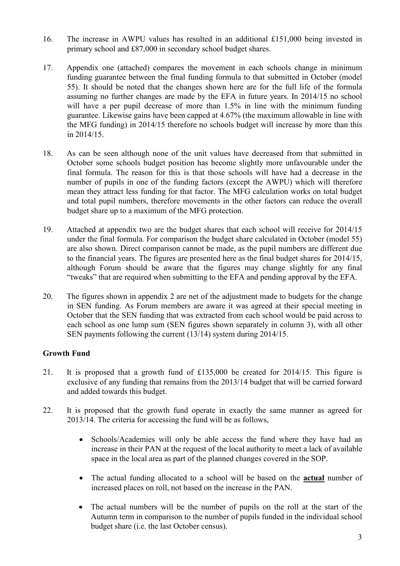- 16. The increase in AWPU values has resulted in an additional £151,000 being invested in primary school and £87,000 in secondary school budget shares.
- 17. Appendix one (attached) compares the movement in each schools change in minimum funding guarantee between the final funding formula to that submitted in October (model 55). It should be noted that the changes shown here are for the full life of the formula assuming no further changes are made by the EFA in future years. In 2014/15 no school will have a per pupil decrease of more than 1.5% in line with the minimum funding guarantee. Likewise gains have been capped at 4.67% (the maximum allowable in line with the MFG funding) in 2014/15 therefore no schools budget will increase by more than this in 2014/15.
- 18. As can be seen although none of the unit values have decreased from that submitted in October some schools budget position has become slightly more unfavourable under the final formula. The reason for this is that those schools will have had a decrease in the number of pupils in one of the funding factors (except the AWPU) which will therefore mean they attract less funding for that factor. The MFG calculation works on total budget and total pupil numbers, therefore movements in the other factors can reduce the overall budget share up to a maximum of the MFG protection.
- 19. Attached at appendix two are the budget shares that each school will receive for 2014/15 under the final formula. For comparison the budget share calculated in October (model 55) are also shown. Direct comparison cannot be made, as the pupil numbers are different due to the financial years. The figures are presented here as the final budget shares for 2014/15, although Forum should be aware that the figures may change slightly for any final "tweaks" that are required when submitting to the EFA and pending approval by the EFA.
- 20. The figures shown in appendix 2 are net of the adjustment made to budgets for the change in SEN funding. As Forum members are aware it was agreed at their special meeting in October that the SEN funding that was extracted from each school would be paid across to each school as one lump sum (SEN figures shown separately in column 3), with all other SEN payments following the current (13/14) system during 2014/15.

# Growth Fund

- 21. It is proposed that a growth fund of £135,000 be created for 2014/15. This figure is exclusive of any funding that remains from the 2013/14 budget that will be carried forward and added towards this budget.
- 22. It is proposed that the growth fund operate in exactly the same manner as agreed for 2013/14. The criteria for accessing the fund will be as follows,
	- Schools/Academies will only be able access the fund where they have had an increase in their PAN at the request of the local authority to meet a lack of available space in the local area as part of the planned changes covered in the SOP.
	- The actual funding allocated to a school will be based on the **actual** number of increased places on roll, not based on the increase in the PAN.
	- The actual numbers will be the number of pupils on the roll at the start of the Autumn term in comparison to the number of pupils funded in the individual school budget share (i.e. the last October census).